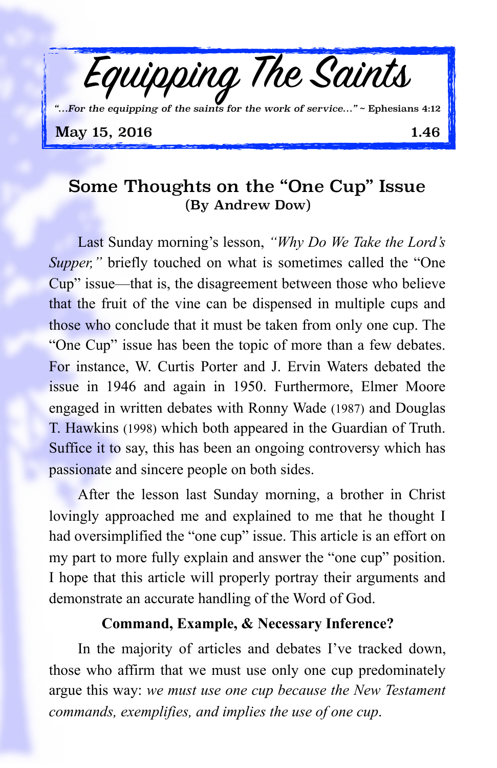

## Some Thoughts on the "One Cup" Issue (By Andrew Dow)

Last Sunday morning's lesson, *"Why Do We Take the Lord's Supper,"* briefly touched on what is sometimes called the "One Cup" issue—that is, the disagreement between those who believe that the fruit of the vine can be dispensed in multiple cups and those who conclude that it must be taken from only one cup. The "One Cup" issue has been the topic of more than a few debates. For instance, W. Curtis Porter and J. Ervin Waters debated the issue in 1946 and again in 1950. Furthermore, Elmer Moore engaged in written debates with Ronny Wade (1987) and Douglas T. Hawkins (1998) which both appeared in the Guardian of Truth. Suffice it to say, this has been an ongoing controversy which has passionate and sincere people on both sides.

After the lesson last Sunday morning, a brother in Christ lovingly approached me and explained to me that he thought I had oversimplified the "one cup" issue. This article is an effort on my part to more fully explain and answer the "one cup" position. I hope that this article will properly portray their arguments and demonstrate an accurate handling of the Word of God.

## **Command, Example, & Necessary Inference?**

In the majority of articles and debates I've tracked down, those who affirm that we must use only one cup predominately argue this way: *we must use one cup because the New Testament commands, exemplifies, and implies the use of one cup*.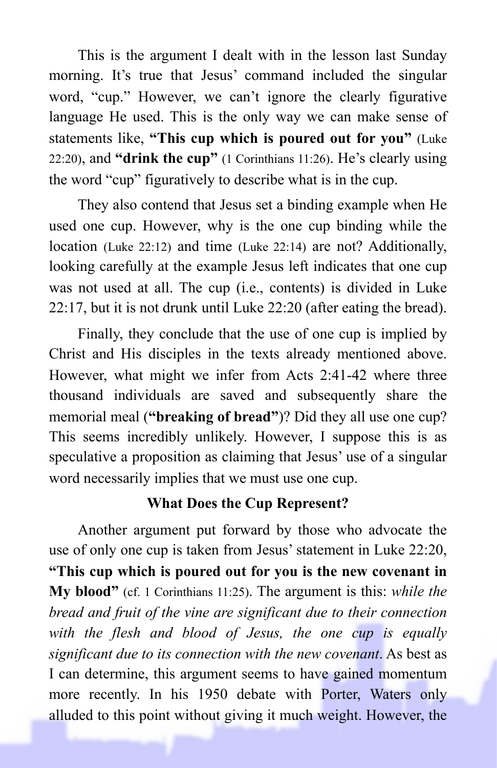This is the argument I dealt with in the lesson last Sunday morning. It's true that Jesus' command included the singular word, "cup." However, we can't ignore the clearly figurative language He used. This is the only way we can make sense of statements like, **"This cup which is poured out for you"** (Luke 22:20), and **"drink the cup"** (1 Corinthians 11:26). He's clearly using the word "cup" figuratively to describe what is in the cup.

They also contend that Jesus set a binding example when He used one cup. However, why is the one cup binding while the location (Luke 22:12) and time (Luke 22:14) are not? Additionally, looking carefully at the example Jesus left indicates that one cup was not used at all. The cup (i.e., contents) is divided in Luke 22:17, but it is not drunk until Luke 22:20 (after eating the bread).

Finally, they conclude that the use of one cup is implied by Christ and His disciples in the texts already mentioned above. However, what might we infer from Acts 2:41-42 where three thousand individuals are saved and subsequently share the memorial meal (**"breaking of bread"**)? Did they all use one cup? This seems incredibly unlikely. However, I suppose this is as speculative a proposition as claiming that Jesus' use of a singular word necessarily implies that we must use one cup.

## **What Does the Cup Represent?**

Another argument put forward by those who advocate the use of only one cup is taken from Jesus' statement in Luke 22:20, **"This cup which is poured out for you is the new covenant in My blood"** (cf. 1 Corinthians 11:25). The argument is this: *while the bread and fruit of the vine are significant due to their connection with the flesh and blood of Jesus, the one cup is equally significant due to its connection with the new covenant*. As best as I can determine, this argument seems to have gained momentum more recently. In his 1950 debate with Porter, Waters only alluded to this point without giving it much weight. However, the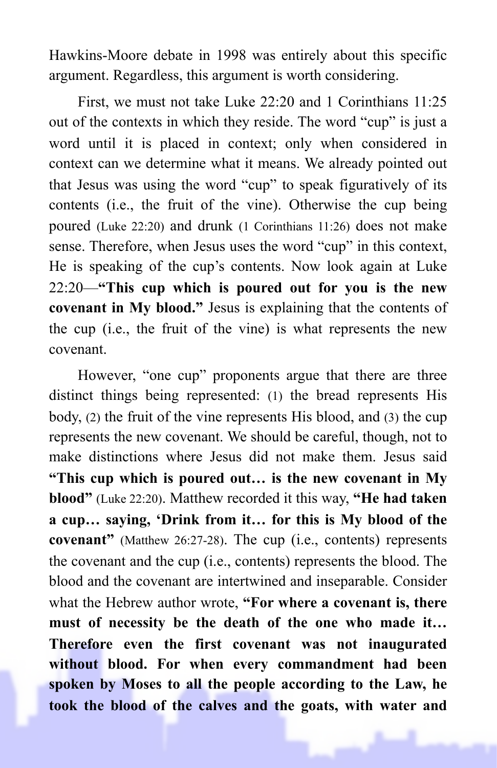Hawkins-Moore debate in 1998 was entirely about this specific argument. Regardless, this argument is worth considering.

First, we must not take Luke 22:20 and 1 Corinthians 11:25 out of the contexts in which they reside. The word "cup" is just a word until it is placed in context; only when considered in context can we determine what it means. We already pointed out that Jesus was using the word "cup" to speak figuratively of its contents (i.e., the fruit of the vine). Otherwise the cup being poured (Luke 22:20) and drunk (1 Corinthians 11:26) does not make sense. Therefore, when Jesus uses the word "cup" in this context, He is speaking of the cup's contents. Now look again at Luke 22:20—**"This cup which is poured out for you is the new covenant in My blood."** Jesus is explaining that the contents of the cup (i.e., the fruit of the vine) is what represents the new covenant.

However, "one cup" proponents argue that there are three distinct things being represented: (1) the bread represents His body, (2) the fruit of the vine represents His blood, and (3) the cup represents the new covenant. We should be careful, though, not to make distinctions where Jesus did not make them. Jesus said **"This cup which is poured out… is the new covenant in My blood"** (Luke 22:20). Matthew recorded it this way, **"He had taken a cup… saying, 'Drink from it… for this is My blood of the covenant"** (Matthew 26:27-28). The cup (i.e., contents) represents the covenant and the cup (i.e., contents) represents the blood. The blood and the covenant are intertwined and inseparable. Consider what the Hebrew author wrote, **"For where a covenant is, there must of necessity be the death of the one who made it… Therefore even the first covenant was not inaugurated without blood. For when every commandment had been spoken by Moses to all the people according to the Law, he took the blood of the calves and the goats, with water and**